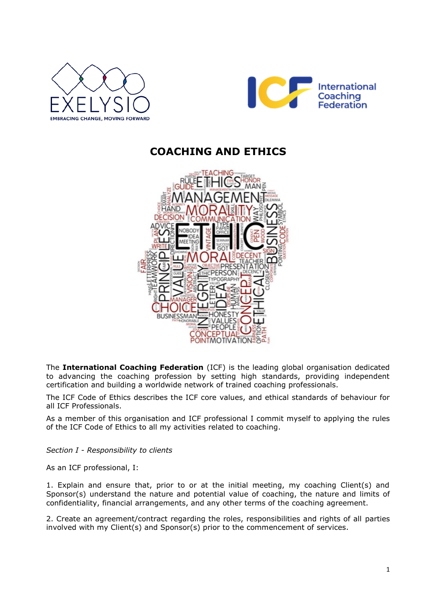



## **COACHING AND ETHICS**



The **International Coaching Federation** (ICF) is the leading global organisation dedicated to advancing the coaching profession by setting high standards, providing independent certification and building a worldwide network of trained coaching professionals.

The ICF Code of Ethics describes the ICF core values, and ethical standards of behaviour for all ICF Professionals.

As a member of this organisation and ICF professional I commit myself to applying the rules of the ICF Code of Ethics to all my activities related to coaching.

*Section I - Responsibility to clients*

As an ICF professional, I:

1. Explain and ensure that, prior to or at the initial meeting, my coaching Client(s) and Sponsor(s) understand the nature and potential value of coaching, the nature and limits of confidentiality, financial arrangements, and any other terms of the coaching agreement.

2. Create an agreement/contract regarding the roles, responsibilities and rights of all parties involved with my Client(s) and Sponsor(s) prior to the commencement of services.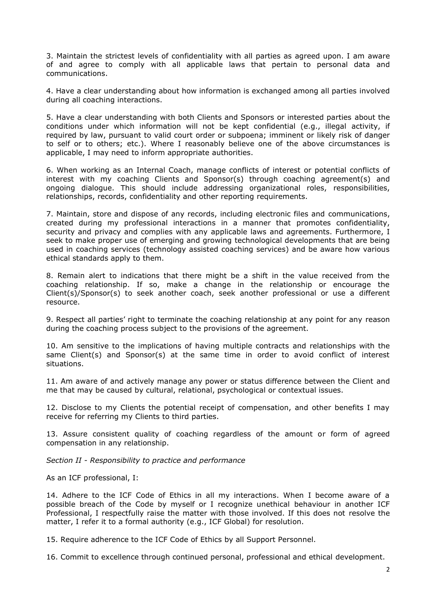3. Maintain the strictest levels of confidentiality with all parties as agreed upon. I am aware of and agree to comply with all applicable laws that pertain to personal data and communications.

4. Have a clear understanding about how information is exchanged among all parties involved during all coaching interactions.

5. Have a clear understanding with both Clients and Sponsors or interested parties about the conditions under which information will not be kept confidential (e.g., illegal activity, if required by law, pursuant to valid court order or subpoena; imminent or likely risk of danger to self or to others; etc.). Where I reasonably believe one of the above circumstances is applicable, I may need to inform appropriate authorities.

6. When working as an Internal Coach, manage conflicts of interest or potential conflicts of interest with my coaching Clients and Sponsor(s) through coaching agreement(s) and ongoing dialogue. This should include addressing organizational roles, responsibilities, relationships, records, confidentiality and other reporting requirements.

7. Maintain, store and dispose of any records, including electronic files and communications, created during my professional interactions in a manner that promotes confidentiality, security and privacy and complies with any applicable laws and agreements. Furthermore, I seek to make proper use of emerging and growing technological developments that are being used in coaching services (technology assisted coaching services) and be aware how various ethical standards apply to them.

8. Remain alert to indications that there might be a shift in the value received from the coaching relationship. If so, make a change in the relationship or encourage the Client(s)/Sponsor(s) to seek another coach, seek another professional or use a different resource.

9. Respect all parties' right to terminate the coaching relationship at any point for any reason during the coaching process subject to the provisions of the agreement.

10. Am sensitive to the implications of having multiple contracts and relationships with the same Client(s) and Sponsor(s) at the same time in order to avoid conflict of interest situations.

11. Am aware of and actively manage any power or status difference between the Client and me that may be caused by cultural, relational, psychological or contextual issues.

12. Disclose to my Clients the potential receipt of compensation, and other benefits I may receive for referring my Clients to third parties.

13. Assure consistent quality of coaching regardless of the amount or form of agreed compensation in any relationship.

*Section II - Responsibility to practice and performance*

As an ICF professional, I:

14. Adhere to the ICF Code of Ethics in all my interactions. When I become aware of a possible breach of the Code by myself or I recognize unethical behaviour in another ICF Professional, I respectfully raise the matter with those involved. If this does not resolve the matter, I refer it to a formal authority (e.g., ICF Global) for resolution.

15. Require adherence to the ICF Code of Ethics by all Support Personnel.

16. Commit to excellence through continued personal, professional and ethical development.